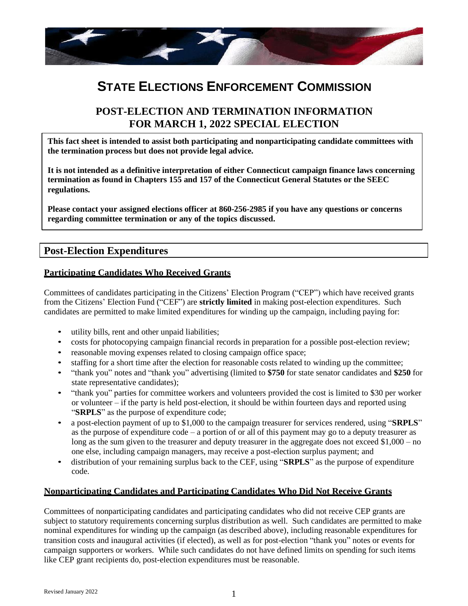

# **STATE ELECTIONS ENFORCEMENT COMMISSION**

## **POST-ELECTION AND TERMINATION INFORMATION FOR MARCH 1, 2022 SPECIAL ELECTION**

**This fact sheet is intended to assist both participating and nonparticipating candidate committees with the termination process but does not provide legal advice.**

**It is not intended as a definitive interpretation of either Connecticut campaign finance laws concerning termination as found in Chapters 155 and 157 of the Connecticut General Statutes or the SEEC regulations.**

**Please contact your assigned elections officer at 860-256-2985 if you have any questions or concerns regarding committee termination or any of the topics discussed.**

## **Post-Election Expenditures**

#### **Participating Candidates Who Received Grants**

Committees of candidates participating in the Citizens' Election Program ("CEP") which have received grants from the Citizens' Election Fund ("CEF") are **strictly limited** in making post-election expenditures. Such candidates are permitted to make limited expenditures for winding up the campaign, including paying for:

- utility bills, rent and other unpaid liabilities;
- costs for photocopying campaign financial records in preparation for a possible post-election review;
- reasonable moving expenses related to closing campaign office space;
- staffing for a short time after the election for reasonable costs related to winding up the committee;
- "thank you" notes and "thank you" advertising (limited to **\$750** for state senator candidates and **\$250** for state representative candidates);
- "thank you" parties for committee workers and volunteers provided the cost is limited to \$30 per worker or volunteer – if the party is held post-election, it should be within fourteen days and reported using "**SRPLS**" as the purpose of expenditure code;
- a post-election payment of up to \$1,000 to the campaign treasurer for services rendered, using "**SRPLS**" as the purpose of expenditure code – a portion of or all of this payment may go to a deputy treasurer as long as the sum given to the treasurer and deputy treasurer in the aggregate does not exceed \$1,000 – no one else, including campaign managers, may receive a post-election surplus payment; and
- distribution of your remaining surplus back to the CEF, using "**SRPLS**" as the purpose of expenditure code.

#### **Nonparticipating Candidates and Participating Candidates Who Did Not Receive Grants**

Committees of nonparticipating candidates and participating candidates who did not receive CEP grants are subject to statutory requirements concerning surplus distribution as well. Such candidates are permitted to make nominal expenditures for winding up the campaign (as described above), including reasonable expenditures for transition costs and inaugural activities (if elected), as well as for post-election "thank you" notes or events for campaign supporters or workers. While such candidates do not have defined limits on spending for such items like CEP grant recipients do, post-election expenditures must be reasonable.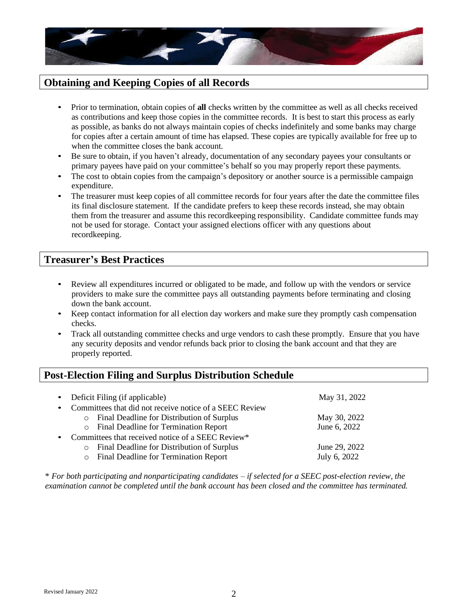

## **Obtaining and Keeping Copies of all Records**

- Prior to termination, obtain copies of **all** checks written by the committee as well as all checks received as contributions and keep those copies in the committee records. It is best to start this process as early as possible, as banks do not always maintain copies of checks indefinitely and some banks may charge for copies after a certain amount of time has elapsed. These copies are typically available for free up to when the committee closes the bank account.
- Be sure to obtain, if you haven't already, documentation of any secondary payees your consultants or primary payees have paid on your committee's behalf so you may properly report these payments.
- The cost to obtain copies from the campaign's depository or another source is a permissible campaign expenditure.
- The treasurer must keep copies of all committee records for four years after the date the committee files its final disclosure statement. If the candidate prefers to keep these records instead, she may obtain them from the treasurer and assume this recordkeeping responsibility. Candidate committee funds may not be used for storage. Contact your assigned elections officer with any questions about recordkeeping.

## **Treasurer's Best Practices**

- Review all expenditures incurred or obligated to be made, and follow up with the vendors or service providers to make sure the committee pays all outstanding payments before terminating and closing down the bank account.
- Keep contact information for all election day workers and make sure they promptly cash compensation checks.
- Track all outstanding committee checks and urge vendors to cash these promptly. Ensure that you have any security deposits and vendor refunds back prior to closing the bank account and that they are properly reported.

# **Post-Election Filing and Surplus Distribution Schedule**

| Deficit Filing (if applicable)                          | May 31, 2022  |
|---------------------------------------------------------|---------------|
| Committees that did not receive notice of a SEEC Review |               |
| o Final Deadline for Distribution of Surplus            | May 30, 2022  |
| o Final Deadline for Termination Report                 | June 6, 2022  |
| Committees that received notice of a SEEC Review*       |               |
| Final Deadline for Distribution of Surplus<br>$\circ$   | June 29, 2022 |
| <b>Final Deadline for Termination Report</b><br>$\circ$ | July 6, 2022  |

\* *For both participating and nonparticipating candidates – if selected for a SEEC post-election review, the examination cannot be completed until the bank account has been closed and the committee has terminated.*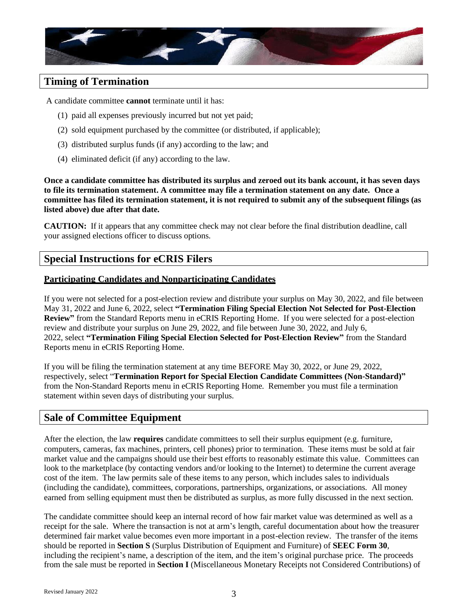

## **Timing of Termination**

A candidate committee **cannot** terminate until it has:

- (1) paid all expenses previously incurred but not yet paid;
- (2) sold equipment purchased by the committee (or distributed, if applicable);
- (3) distributed surplus funds (if any) according to the law; and
- (4) eliminated deficit (if any) according to the law.

**Once a candidate committee has distributed its surplus and zeroed out its bank account, it has seven days to file its termination statement. A committee may file a termination statement on any date. Once a committee has filed its termination statement, it is not required to submit any of the subsequent filings (as listed above) due after that date.**

**CAUTION:** If it appears that any committee check may not clear before the final distribution deadline, call your assigned elections officer to discuss options.

## **Special Instructions for eCRIS Filers**

#### **Participating Candidates and Nonparticipating Candidates**

If you were not selected for a post-election review and distribute your surplus on May 30, 2022, and file between May 31, 2022 and June 6, 2022, select **"Termination Filing Special Election Not Selected for Post-Election Review"** from the Standard Reports menu in eCRIS Reporting Home. If you were selected for a post-election review and distribute your surplus on June 29, 2022, and file between June 30, 2022, and July 6, 2022, select **"Termination Filing Special Election Selected for Post-Election Review"** from the Standard Reports menu in eCRIS Reporting Home.

If you will be filing the termination statement at any time BEFORE May 30, 2022, or June 29, 2022, respectively, select "**Termination Report for Special Election Candidate Committees (Non-Standard)"**  from the Non-Standard Reports menu in eCRIS Reporting Home. Remember you must file a termination statement within seven days of distributing your surplus.

## **Sale of Committee Equipment**

After the election, the law **requires** candidate committees to sell their surplus equipment (e.g. furniture, computers, cameras, fax machines, printers, cell phones) prior to termination. These items must be sold at fair market value and the campaigns should use their best efforts to reasonably estimate this value. Committees can look to the marketplace (by contacting vendors and/or looking to the Internet) to determine the current average cost of the item. The law permits sale of these items to any person, which includes sales to individuals (including the candidate), committees, corporations, partnerships, organizations, or associations. All money earned from selling equipment must then be distributed as surplus, as more fully discussed in the next section.

The candidate committee should keep an internal record of how fair market value was determined as well as a receipt for the sale. Where the transaction is not at arm's length, careful documentation about how the treasurer determined fair market value becomes even more important in a post-election review. The transfer of the items should be reported in **Section S** (Surplus Distribution of Equipment and Furniture) of **SEEC Form 30**, including the recipient's name, a description of the item, and the item's original purchase price. The proceeds from the sale must be reported in **Section I** (Miscellaneous Monetary Receipts not Considered Contributions) of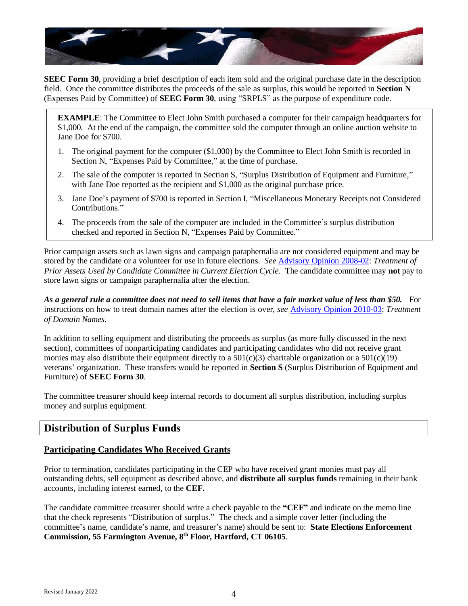

**SEEC Form 30**, providing a brief description of each item sold and the original purchase date in the description field. Once the committee distributes the proceeds of the sale as surplus, this would be reported in **Section N**  (Expenses Paid by Committee) of **SEEC Form 30**, using "SRPLS" as the purpose of expenditure code.

**EXAMPLE**: The Committee to Elect John Smith purchased a computer for their campaign headquarters for \$1,000. At the end of the campaign, the committee sold the computer through an online auction website to Jane Doe for \$700.

- 1. The original payment for the computer (\$1,000) by the Committee to Elect John Smith is recorded in Section N, "Expenses Paid by Committee," at the time of purchase.
- 2. The sale of the computer is reported in Section S, "Surplus Distribution of Equipment and Furniture," with Jane Doe reported as the recipient and \$1,000 as the original purchase price.
- 3. Jane Doe's payment of \$700 is reported in Section I, "Miscellaneous Monetary Receipts not Considered Contributions."
- 4. The proceeds from the sale of the computer are included in the Committee's surplus distribution checked and reported in Section N, "Expenses Paid by Committee."

Prior campaign assets such as lawn signs and campaign paraphernalia are not considered equipment and may be stored by the candidate or a volunteer for use in future elections. *See* [Advisory Opinion 2008-02:](https://seec.ct.gov/Portal/data/AdvisoryOpinions/ao200802.pdf) *Treatment of Prior Assets Used by Candidate Committee in Current Election Cycle*. The candidate committee may **not** pay to store lawn signs or campaign paraphernalia after the election.

*As a general rule a committee does not need to sell items that have a fair market value of less than \$50.* For instructions on how to treat domain names after the election is over, *see* Advisory [Opinion 2010-03:](https://seec.ct.gov/Portal/data/AdvisoryOpinions/AO2010-03TreatmentofDomainNames.pdf) *Treatment of Domain Names*.

In addition to selling equipment and distributing the proceeds as surplus (as more fully discussed in the next section), committees of nonparticipating candidates and participating candidates who did not receive grant monies may also distribute their equipment directly to a  $501(c)(3)$  charitable organization or a  $501(c)(19)$ veterans' organization. These transfers would be reported in **Section S** (Surplus Distribution of Equipment and Furniture) of **SEEC Form 30**.

The committee treasurer should keep internal records to document all surplus distribution, including surplus money and surplus equipment.

## **Distribution of Surplus Funds**

#### **Participating Candidates Who Received Grants**

Prior to termination, candidates participating in the CEP who have received grant monies must pay all outstanding debts, sell equipment as described above, and **distribute all surplus funds** remaining in their bank accounts, including interest earned, to the **CEF.**

The candidate committee treasurer should write a check payable to the **"CEF"** and indicate on the memo line that the check represents "Distribution of surplus." The check and a simple cover letter (including the committee's name, candidate's name, and treasurer's name) should be sent to: **State Elections Enforcement Commission, 55 Farmington Avenue, 8 th Floor, Hartford, CT 06105**.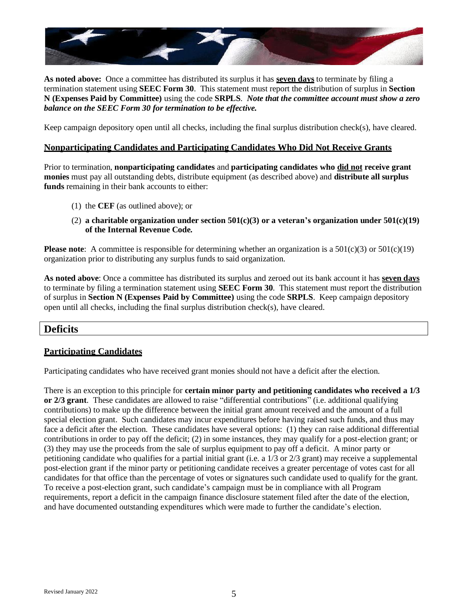

**As noted above:** Once a committee has distributed its surplus it has **seven days** to terminate by filing a termination statement using **SEEC Form 30**. This statement must report the distribution of surplus in **Section N (Expenses Paid by Committee)** using the code **SRPLS**. *Note that the committee account must show a zero balance on the SEEC Form 30 for termination to be effective.*

Keep campaign depository open until all checks, including the final surplus distribution check(s), have cleared.

#### **Nonparticipating Candidates and Participating Candidates Who Did Not Receive Grants**

Prior to termination, **nonparticipating candidates** and **participating candidates who did not receive grant monies** must pay all outstanding debts, distribute equipment (as described above) and **distribute all surplus**  funds remaining in their bank accounts to either:

- (1) the **CEF** (as outlined above); or
- (2) **a charitable organization under section 501(c)(3) or a veteran's organization under 501(c)(19) of the Internal Revenue Code.**

**Please note**: A committee is responsible for determining whether an organization is a 501(c)(3) or 501(c)(19) organization prior to distributing any surplus funds to said organization.

**As noted above**: Once a committee has distributed its surplus and zeroed out its bank account it has **seven days** to terminate by filing a termination statement using **SEEC Form 30**. This statement must report the distribution of surplus in **Section N (Expenses Paid by Committee)** using the code **SRPLS**. Keep campaign depository open until all checks, including the final surplus distribution check(s), have cleared.

## **Deficits**

#### **Participating Candidates**

Participating candidates who have received grant monies should not have a deficit after the election.

There is an exception to this principle for **certain minor party and petitioning candidates who received a 1/3 or 2/3 grant**. These candidates are allowed to raise "differential contributions" (i.e. additional qualifying contributions) to make up the difference between the initial grant amount received and the amount of a full special election grant. Such candidates may incur expenditures before having raised such funds, and thus may face a deficit after the election. These candidates have several options: (1) they can raise additional differential contributions in order to pay off the deficit; (2) in some instances, they may qualify for a post-election grant; or (3) they may use the proceeds from the sale of surplus equipment to pay off a deficit. A minor party or petitioning candidate who qualifies for a partial initial grant (i.e. a 1/3 or 2/3 grant) may receive a supplemental post-election grant if the minor party or petitioning candidate receives a greater percentage of votes cast for all candidates for that office than the percentage of votes or signatures such candidate used to qualify for the grant. To receive a post-election grant, such candidate's campaign must be in compliance with all Program requirements, report a deficit in the campaign finance disclosure statement filed after the date of the election, and have documented outstanding expenditures which were made to further the candidate's election.